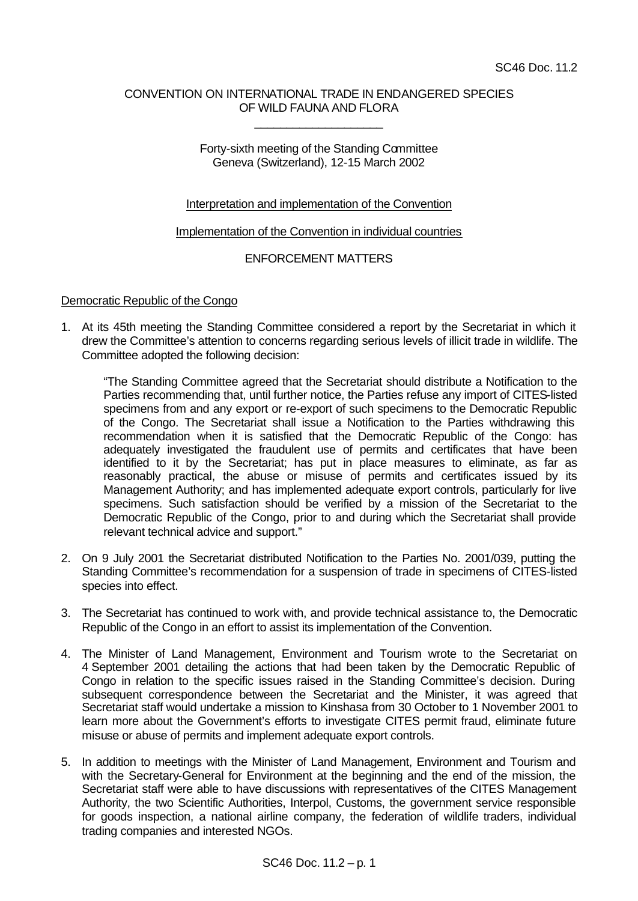# CONVENTION ON INTERNATIONAL TRADE IN ENDANGERED SPECIES OF WILD FAUNA AND FLORA

\_\_\_\_\_\_\_\_\_\_\_\_\_\_\_\_\_\_\_\_

# Forty-sixth meeting of the Standing Committee Geneva (Switzerland), 12-15 March 2002

# Interpretation and implementation of the Convention

#### Implementation of the Convention in individual countries

# ENFORCEMENT MATTERS

#### Democratic Republic of the Congo

1. At its 45th meeting the Standing Committee considered a report by the Secretariat in which it drew the Committee's attention to concerns regarding serious levels of illicit trade in wildlife. The Committee adopted the following decision:

"The Standing Committee agreed that the Secretariat should distribute a Notification to the Parties recommending that, until further notice, the Parties refuse any import of CITES-listed specimens from and any export or re-export of such specimens to the Democratic Republic of the Congo. The Secretariat shall issue a Notification to the Parties withdrawing this recommendation when it is satisfied that the Democratic Republic of the Congo: has adequately investigated the fraudulent use of permits and certificates that have been identified to it by the Secretariat; has put in place measures to eliminate, as far as reasonably practical, the abuse or misuse of permits and certificates issued by its Management Authority; and has implemented adequate export controls, particularly for live specimens. Such satisfaction should be verified by a mission of the Secretariat to the Democratic Republic of the Congo, prior to and during which the Secretariat shall provide relevant technical advice and support."

- 2. On 9 July 2001 the Secretariat distributed Notification to the Parties No. 2001/039, putting the Standing Committee's recommendation for a suspension of trade in specimens of CITES-listed species into effect.
- 3. The Secretariat has continued to work with, and provide technical assistance to, the Democratic Republic of the Congo in an effort to assist its implementation of the Convention.
- 4. The Minister of Land Management, Environment and Tourism wrote to the Secretariat on 4 September 2001 detailing the actions that had been taken by the Democratic Republic of Congo in relation to the specific issues raised in the Standing Committee's decision. During subsequent correspondence between the Secretariat and the Minister, it was agreed that Secretariat staff would undertake a mission to Kinshasa from 30 October to 1 November 2001 to learn more about the Government's efforts to investigate CITES permit fraud, eliminate future misuse or abuse of permits and implement adequate export controls.
- 5. In addition to meetings with the Minister of Land Management, Environment and Tourism and with the Secretary-General for Environment at the beginning and the end of the mission, the Secretariat staff were able to have discussions with representatives of the CITES Management Authority, the two Scientific Authorities, Interpol, Customs, the government service responsible for goods inspection, a national airline company, the federation of wildlife traders, individual trading companies and interested NGOs.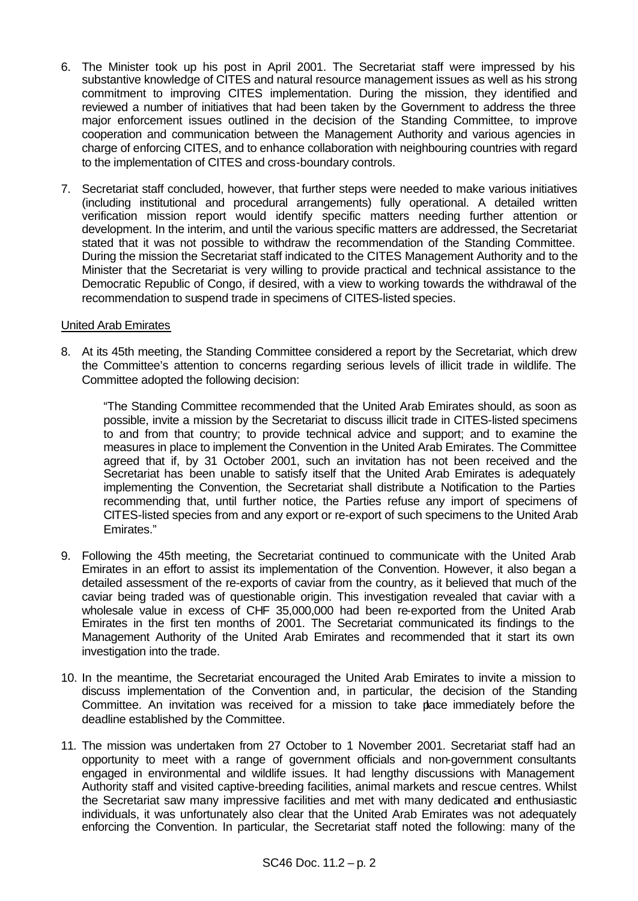- 6. The Minister took up his post in April 2001. The Secretariat staff were impressed by his substantive knowledge of CITES and natural resource management issues as well as his strong commitment to improving CITES implementation. During the mission, they identified and reviewed a number of initiatives that had been taken by the Government to address the three major enforcement issues outlined in the decision of the Standing Committee, to improve cooperation and communication between the Management Authority and various agencies in charge of enforcing CITES, and to enhance collaboration with neighbouring countries with regard to the implementation of CITES and cross-boundary controls.
- 7. Secretariat staff concluded, however, that further steps were needed to make various initiatives (including institutional and procedural arrangements) fully operational. A detailed written verification mission report would identify specific matters needing further attention or development. In the interim, and until the various specific matters are addressed, the Secretariat stated that it was not possible to withdraw the recommendation of the Standing Committee. During the mission the Secretariat staff indicated to the CITES Management Authority and to the Minister that the Secretariat is very willing to provide practical and technical assistance to the Democratic Republic of Congo, if desired, with a view to working towards the withdrawal of the recommendation to suspend trade in specimens of CITES-listed species.

# United Arab Emirates

8. At its 45th meeting, the Standing Committee considered a report by the Secretariat, which drew the Committee's attention to concerns regarding serious levels of illicit trade in wildlife. The Committee adopted the following decision:

"The Standing Committee recommended that the United Arab Emirates should, as soon as possible, invite a mission by the Secretariat to discuss illicit trade in CITES-listed specimens to and from that country; to provide technical advice and support; and to examine the measures in place to implement the Convention in the United Arab Emirates. The Committee agreed that if, by 31 October 2001, such an invitation has not been received and the Secretariat has been unable to satisfy itself that the United Arab Emirates is adequately implementing the Convention, the Secretariat shall distribute a Notification to the Parties recommending that, until further notice, the Parties refuse any import of specimens of CITES-listed species from and any export or re-export of such specimens to the United Arab Emirates."

- 9. Following the 45th meeting, the Secretariat continued to communicate with the United Arab Emirates in an effort to assist its implementation of the Convention. However, it also began a detailed assessment of the re-exports of caviar from the country, as it believed that much of the caviar being traded was of questionable origin. This investigation revealed that caviar with a wholesale value in excess of CHF 35,000,000 had been re-exported from the United Arab Emirates in the first ten months of 2001. The Secretariat communicated its findings to the Management Authority of the United Arab Emirates and recommended that it start its own investigation into the trade.
- 10. In the meantime, the Secretariat encouraged the United Arab Emirates to invite a mission to discuss implementation of the Convention and, in particular, the decision of the Standing Committee. An invitation was received for a mission to take place immediately before the deadline established by the Committee.
- 11. The mission was undertaken from 27 October to 1 November 2001. Secretariat staff had an opportunity to meet with a range of government officials and non-government consultants engaged in environmental and wildlife issues. It had lengthy discussions with Management Authority staff and visited captive-breeding facilities, animal markets and rescue centres. Whilst the Secretariat saw many impressive facilities and met with many dedicated and enthusiastic individuals, it was unfortunately also clear that the United Arab Emirates was not adequately enforcing the Convention. In particular, the Secretariat staff noted the following: many of the